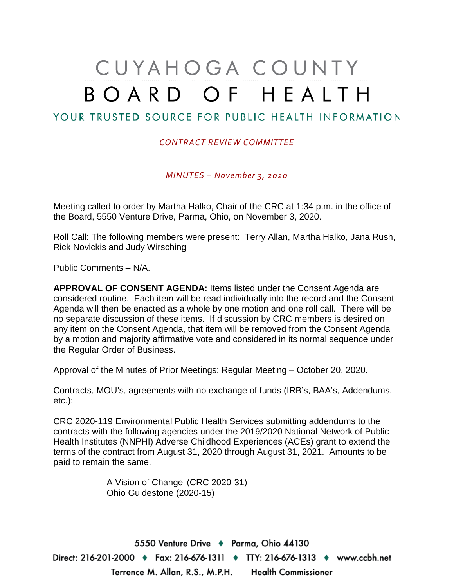## CUYAHOGA COUNTY BOARD OF HEALTH

## YOUR TRUSTED SOURCE FOR PUBLIC HEALTH INFORMATION

## *CONTRACT REVIEW COMMITTEE*

*MINUTES – November 3, 2020*

Meeting called to order by Martha Halko, Chair of the CRC at 1:34 p.m. in the office of the Board, 5550 Venture Drive, Parma, Ohio, on November 3, 2020.

Roll Call: The following members were present: Terry Allan, Martha Halko, Jana Rush, Rick Novickis and Judy Wirsching

Public Comments – N/A.

**APPROVAL OF CONSENT AGENDA:** Items listed under the Consent Agenda are considered routine. Each item will be read individually into the record and the Consent Agenda will then be enacted as a whole by one motion and one roll call. There will be no separate discussion of these items. If discussion by CRC members is desired on any item on the Consent Agenda, that item will be removed from the Consent Agenda by a motion and majority affirmative vote and considered in its normal sequence under the Regular Order of Business.

Approval of the Minutes of Prior Meetings: Regular Meeting – October 20, 2020.

Contracts, MOU's, agreements with no exchange of funds (IRB's, BAA's, Addendums, etc.):

CRC 2020-119 Environmental Public Health Services submitting addendums to the contracts with the following agencies under the 2019/2020 National Network of Public Health Institutes (NNPHI) Adverse Childhood Experiences (ACEs) grant to extend the terms of the contract from August 31, 2020 through August 31, 2021. Amounts to be paid to remain the same.

> A Vision of Change (CRC 2020-31) Ohio Guidestone (2020-15)

5550 Venture Drive + Parma, Ohio 44130 Direct: 216-201-2000 ♦ Fax: 216-676-1311 ♦ TTY: 216-676-1313 ♦ www.ccbh.net Terrence M. Allan, R.S., M.P.H. Health Commissioner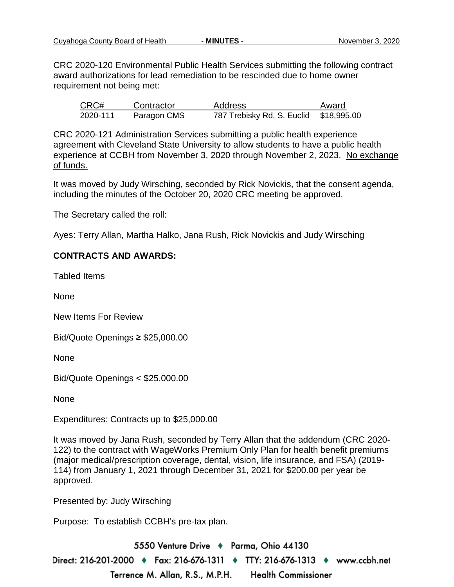CRC 2020-120 Environmental Public Health Services submitting the following contract award authorizations for lead remediation to be rescinded due to home owner requirement not being met:

| CRC#     | Contractor  | <b>Address</b>                         | Award |
|----------|-------------|----------------------------------------|-------|
| 2020-111 | Paragon CMS | 787 Trebisky Rd, S. Euclid \$18,995.00 |       |

CRC 2020-121 Administration Services submitting a public health experience agreement with Cleveland State University to allow students to have a public health experience at CCBH from November 3, 2020 through November 2, 2023. No exchange of funds.

It was moved by Judy Wirsching, seconded by Rick Novickis, that the consent agenda, including the minutes of the October 20, 2020 CRC meeting be approved.

The Secretary called the roll:

Ayes: Terry Allan, Martha Halko, Jana Rush, Rick Novickis and Judy Wirsching

## **CONTRACTS AND AWARDS:**

Tabled Items

None

New Items For Review

Bid/Quote Openings ≥ \$25,000.00

None

Bid/Quote Openings < \$25,000.00

None

Expenditures: Contracts up to \$25,000.00

It was moved by Jana Rush, seconded by Terry Allan that the addendum (CRC 2020- 122) to the contract with WageWorks Premium Only Plan for health benefit premiums (major medical/prescription coverage, dental, vision, life insurance, and FSA) (2019- 114) from January 1, 2021 through December 31, 2021 for \$200.00 per year be approved.

Presented by: Judy Wirsching

Purpose: To establish CCBH's pre-tax plan.

5550 Venture Drive + Parma, Ohio 44130 Direct: 216-201-2000 ♦ Fax: 216-676-1311 ♦ TTY: 216-676-1313 ♦ www.ccbh.net Terrence M. Allan, R.S., M.P.H. **Health Commissioner**